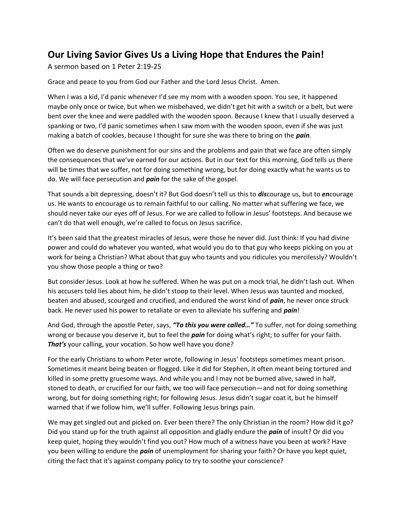## **Our Living Savior Gives Us a Living Hope that Endures the Pain!**

A sermon based on 1 Peter 2:19-25

Grace and peace to you from God our Father and the Lord Jesus Christ. Amen.

When I was a kid, I'd panic whenever I'd see my mom with a wooden spoon. You see, it happened maybe only once or twice, but when we misbehaved, we didn't get hit with a switch or a belt, but were bent over the knee and were paddled with the wooden spoon. Because I knew that I usually deserved a spanking or two, I'd panic sometimes when I saw mom with the wooden spoon, even if she was just making a batch of cookies, because I thought for sure she was there to bring on the *pain*.

Often we do deserve punishment for our sins and the problems and pain that we face are often simply the consequences that we've earned for our actions. But in our text for this morning, God tells us there will be times that we suffer, not for doing something wrong, but for doing exactly what he wants us to do. We will face persecution and *pain* for the sake of the gospel.

That sounds a bit depressing, doesn't it? But God doesn't tell us this to *dis*courage us, but to *en*courage us. He wants to encourage us to remain faithful to our calling. No matter what suffering we face, we should never take our eyes off of Jesus. For we are called to follow in Jesus' footsteps. And because we can't do that well enough, we're called to focus on Jesus sacrifice.

It's been said that the greatest miracles of Jesus, were those he never did. Just think: If you had divine power and could do whatever you wanted, what would you do to that guy who keeps picking on you at work for being a Christian? What about that guy who taunts and you ridicules you mercilessly? Wouldn't you show those people a thing or two?

But consider Jesus. Look at how he suffered. When he was put on a mock trial, he didn't lash out. When his accusers told lies about him, he didn't stoop to their level. When Jesus was taunted and mocked, beaten and abused, scourged and crucified, and endured the worst kind of *pain*, he never once struck back. He never used his power to retaliate or even to alleviate his suffering and *pain*!

And God, through the apostle Peter, says, *"To this you were called…"* To suffer, not for doing something wrong or because you deserve it, but to feel the *pain* for doing what's right; to suffer for your faith. *That's* your calling, your vocation. So how well have you done?

For the early Christians to whom Peter wrote, following in Jesus' footsteps sometimes meant prison. Sometimes it meant being beaten or flogged. Like it did for Stephen, it often meant being tortured and killed in some pretty gruesome ways. And while you and I may not be burned alive, sawed in half, stoned to death, or crucified for our faith, we too will face persecution—and not for doing something wrong, but for doing something right; for following Jesus. Jesus didn't sugar coat it, but he himself warned that if we follow him, we'll suffer. Following Jesus brings pain.

We may get singled out and picked on. Ever been there? The only Christian in the room? How did it go? Did you stand up for the truth against all opposition and gladly endure the *pain* of insult? Or did you keep quiet, hoping they wouldn't find you out? How much of a witness have you been at work? Have you been willing to endure the *pain* of unemployment for sharing your faith? Or have you kept quiet, citing the fact that it's against company policy to try to soothe your conscience?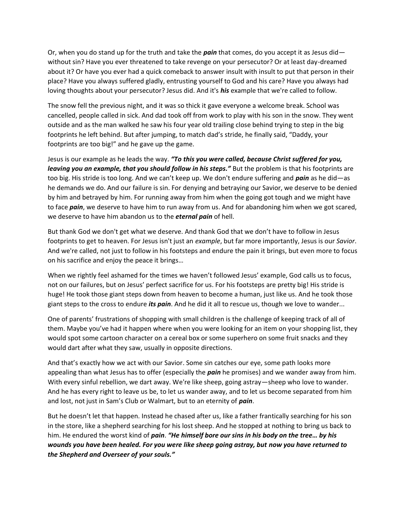Or, when you do stand up for the truth and take the *pain* that comes, do you accept it as Jesus did without sin? Have you ever threatened to take revenge on your persecutor? Or at least day-dreamed about it? Or have you ever had a quick comeback to answer insult with insult to put that person in their place? Have you always suffered gladly, entrusting yourself to God and his care? Have you always had loving thoughts about your persecutor? Jesus did. And it's *his* example that we're called to follow.

The snow fell the previous night, and it was so thick it gave everyone a welcome break. School was cancelled, people called in sick. And dad took off from work to play with his son in the snow. They went outside and as the man walked he saw his four year old trailing close behind trying to step in the big footprints he left behind. But after jumping, to match dad's stride, he finally said, "Daddy, your footprints are too big!" and he gave up the game.

Jesus is our example as he leads the way. *"To this you were called, because Christ suffered for you,*  leaving you an example, that you should follow in his steps." But the problem is that his footprints are too big. His stride is too long. And we can't keep up. We don't endure suffering and *pain* as he did—as he demands we do. And our failure is sin. For denying and betraying our Savior, we deserve to be denied by him and betrayed by him. For running away from him when the going got tough and we might have to face *pain*, we deserve to have him to run away from us. And for abandoning him when we got scared, we deserve to have him abandon us to the *eternal pain* of hell.

But thank God we don't get what we deserve. And thank God that we don't have to follow in Jesus footprints to get to heaven. For Jesus isn't just an *example*, but far more importantly, Jesus is our *Savior*. And we're called, not just to follow in his footsteps and endure the pain it brings, but even more to focus on his sacrifice and enjoy the peace it brings…

When we rightly feel ashamed for the times we haven't followed Jesus' example, God calls us to focus, not on our failures, but on Jesus' perfect sacrifice for us. For his footsteps are pretty big! His stride is huge! He took those giant steps down from heaven to become a human, just like us. And he took those giant steps to the cross to endure *its pain*. And he did it all to rescue us, though we love to wander...

One of parents' frustrations of shopping with small children is the challenge of keeping track of all of them. Maybe you've had it happen where when you were looking for an item on your shopping list, they would spot some cartoon character on a cereal box or some superhero on some fruit snacks and they would dart after what they saw, usually in opposite directions.

And that's exactly how we act with our Savior. Some sin catches our eye, some path looks more appealing than what Jesus has to offer (especially the *pain* he promises) and we wander away from him. With every sinful rebellion, we dart away. We're like sheep, going astray—sheep who love to wander. And he has every right to leave us be, to let us wander away, and to let us become separated from him and lost, not just in Sam's Club or Walmart, but to an eternity of *pain*.

But he doesn't let that happen. Instead he chased after us, like a father frantically searching for his son in the store, like a shepherd searching for his lost sheep. And he stopped at nothing to bring us back to him. He endured the worst kind of *pain*. *"He himself bore our sins in his body on the tree… by his wounds you have been healed. For you were like sheep going astray, but now you have returned to the Shepherd and Overseer of your souls."*